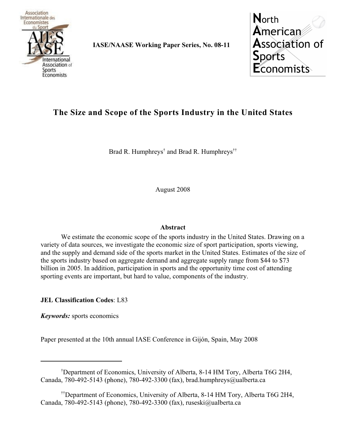

**IASE/NAASE Working Paper Series, No. 08-11**

**North** American **Association of Sports Economists** 

# **The Size and Scope of the Sports Industry in the United States**

Brad R. Humphreys<sup>†</sup> and Brad R. Humphreys<sup>††</sup>

August 2008

# **Abstract**

We estimate the economic scope of the sports industry in the United States. Drawing on a variety of data sources, we investigate the economic size of sport participation, sports viewing, and the supply and demand side of the sports market in the United States. Estimates of the size of the sports industry based on aggregate demand and aggregate supply range from \$44 to \$73 billion in 2005. In addition, participation in sports and the opportunity time cost of attending sporting events are important, but hard to value, components of the industry.

**JEL Classification Codes**: L83

*Keywords:* sports economics

Paper presented at the 10th annual IASE Conference in Gijón, Spain, May 2008

<sup>&</sup>lt;sup>†</sup>Department of Economics, University of Alberta, 8-14 HM Tory, Alberta T6G 2H4, Canada, 780-492-5143 (phone), 780-492-3300 (fax), brad.humphreys@ualberta.ca

<sup>&</sup>lt;sup>††</sup>Department of Economics, University of Alberta, 8-14 HM Tory, Alberta T6G 2H4, Canada, 780-492-5143 (phone), 780-492-3300 (fax), ruseski@ualberta.ca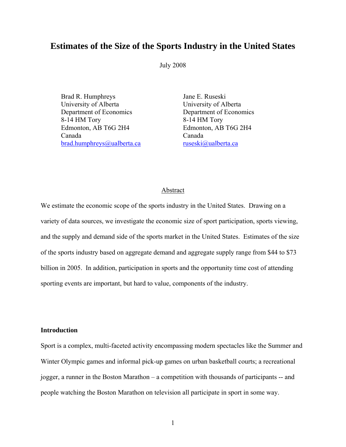# **Estimates of the Size of the Sports Industry in the United States**

July 2008

Brad R. Humphreys Jane E. Ruseski University of Alberta University of Alberta Department of Economics Department of Economics 8-14 HM Tory 8-14 HM Tory Edmonton, AB T6G 2H4 Edmonton, AB T6G 2H4 Canada Canada brad.humphreys@ualberta.ca ruseski@ualberta.ca

# Abstract

We estimate the economic scope of the sports industry in the United States. Drawing on a variety of data sources, we investigate the economic size of sport participation, sports viewing, and the supply and demand side of the sports market in the United States. Estimates of the size of the sports industry based on aggregate demand and aggregate supply range from \$44 to \$73 billion in 2005. In addition, participation in sports and the opportunity time cost of attending sporting events are important, but hard to value, components of the industry.

#### **Introduction**

Sport is a complex, multi-faceted activity encompassing modern spectacles like the Summer and Winter Olympic games and informal pick-up games on urban basketball courts; a recreational jogger, a runner in the Boston Marathon – a competition with thousands of participants -- and people watching the Boston Marathon on television all participate in sport in some way.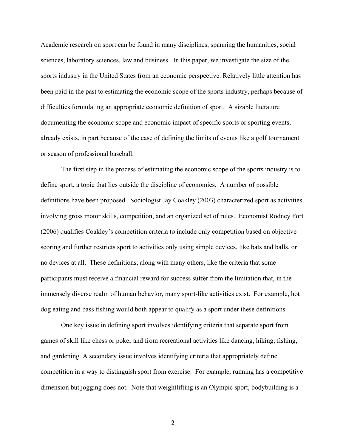Academic research on sport can be found in many disciplines, spanning the humanities, social sciences, laboratory sciences, law and business. In this paper, we investigate the size of the sports industry in the United States from an economic perspective. Relatively little attention has been paid in the past to estimating the economic scope of the sports industry, perhaps because of difficulties formulating an appropriate economic definition of sport. A sizable literature documenting the economic scope and economic impact of specific sports or sporting events, already exists, in part because of the ease of defining the limits of events like a golf tournament or season of professional baseball.

The first step in the process of estimating the economic scope of the sports industry is to define sport, a topic that lies outside the discipline of economics. A number of possible definitions have been proposed. Sociologist Jay Coakley (2003) characterized sport as activities involving gross motor skills, competition, and an organized set of rules. Economist Rodney Fort (2006) qualifies Coakley's competition criteria to include only competition based on objective scoring and further restricts sport to activities only using simple devices, like bats and balls, or no devices at all. These definitions, along with many others, like the criteria that some participants must receive a financial reward for success suffer from the limitation that, in the immensely diverse realm of human behavior, many sport-like activities exist. For example, hot dog eating and bass fishing would both appear to qualify as a sport under these definitions.

One key issue in defining sport involves identifying criteria that separate sport from games of skill like chess or poker and from recreational activities like dancing, hiking, fishing, and gardening. A secondary issue involves identifying criteria that appropriately define competition in a way to distinguish sport from exercise. For example, running has a competitive dimension but jogging does not. Note that weightlifting is an Olympic sport, bodybuilding is a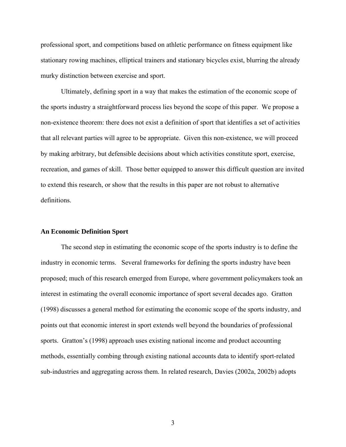professional sport, and competitions based on athletic performance on fitness equipment like stationary rowing machines, elliptical trainers and stationary bicycles exist, blurring the already murky distinction between exercise and sport.

Ultimately, defining sport in a way that makes the estimation of the economic scope of the sports industry a straightforward process lies beyond the scope of this paper. We propose a non-existence theorem: there does not exist a definition of sport that identifies a set of activities that all relevant parties will agree to be appropriate. Given this non-existence, we will proceed by making arbitrary, but defensible decisions about which activities constitute sport, exercise, recreation, and games of skill. Those better equipped to answer this difficult question are invited to extend this research, or show that the results in this paper are not robust to alternative definitions.

#### **An Economic Definition Sport**

The second step in estimating the economic scope of the sports industry is to define the industry in economic terms. Several frameworks for defining the sports industry have been proposed; much of this research emerged from Europe, where government policymakers took an interest in estimating the overall economic importance of sport several decades ago. Gratton (1998) discusses a general method for estimating the economic scope of the sports industry, and points out that economic interest in sport extends well beyond the boundaries of professional sports. Gratton's (1998) approach uses existing national income and product accounting methods, essentially combing through existing national accounts data to identify sport-related sub-industries and aggregating across them. In related research, Davies (2002a, 2002b) adopts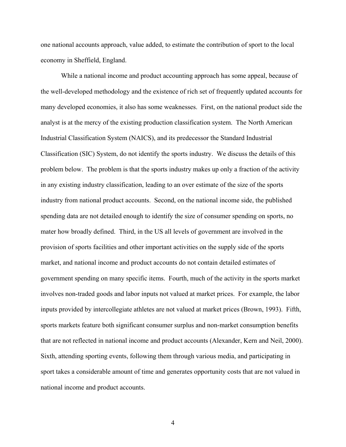one national accounts approach, value added, to estimate the contribution of sport to the local economy in Sheffield, England.

While a national income and product accounting approach has some appeal, because of the well-developed methodology and the existence of rich set of frequently updated accounts for many developed economies, it also has some weaknesses. First, on the national product side the analyst is at the mercy of the existing production classification system. The North American Industrial Classification System (NAICS), and its predecessor the Standard Industrial Classification (SIC) System, do not identify the sports industry. We discuss the details of this problem below. The problem is that the sports industry makes up only a fraction of the activity in any existing industry classification, leading to an over estimate of the size of the sports industry from national product accounts. Second, on the national income side, the published spending data are not detailed enough to identify the size of consumer spending on sports, no mater how broadly defined. Third, in the US all levels of government are involved in the provision of sports facilities and other important activities on the supply side of the sports market, and national income and product accounts do not contain detailed estimates of government spending on many specific items. Fourth, much of the activity in the sports market involves non-traded goods and labor inputs not valued at market prices. For example, the labor inputs provided by intercollegiate athletes are not valued at market prices (Brown, 1993). Fifth, sports markets feature both significant consumer surplus and non-market consumption benefits that are not reflected in national income and product accounts (Alexander, Kern and Neil, 2000). Sixth, attending sporting events, following them through various media, and participating in sport takes a considerable amount of time and generates opportunity costs that are not valued in national income and product accounts.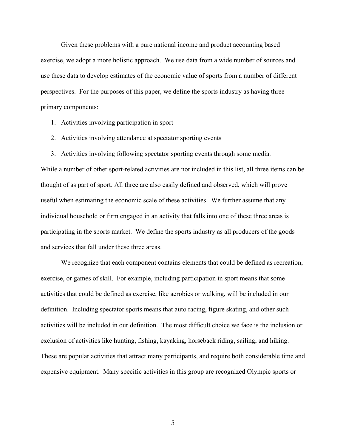Given these problems with a pure national income and product accounting based exercise, we adopt a more holistic approach. We use data from a wide number of sources and use these data to develop estimates of the economic value of sports from a number of different perspectives. For the purposes of this paper, we define the sports industry as having three primary components:

- 1. Activities involving participation in sport
- 2. Activities involving attendance at spectator sporting events
- 3. Activities involving following spectator sporting events through some media.

While a number of other sport-related activities are not included in this list, all three items can be thought of as part of sport. All three are also easily defined and observed, which will prove useful when estimating the economic scale of these activities. We further assume that any individual household or firm engaged in an activity that falls into one of these three areas is participating in the sports market. We define the sports industry as all producers of the goods and services that fall under these three areas.

We recognize that each component contains elements that could be defined as recreation, exercise, or games of skill. For example, including participation in sport means that some activities that could be defined as exercise, like aerobics or walking, will be included in our definition. Including spectator sports means that auto racing, figure skating, and other such activities will be included in our definition. The most difficult choice we face is the inclusion or exclusion of activities like hunting, fishing, kayaking, horseback riding, sailing, and hiking. These are popular activities that attract many participants, and require both considerable time and expensive equipment. Many specific activities in this group are recognized Olympic sports or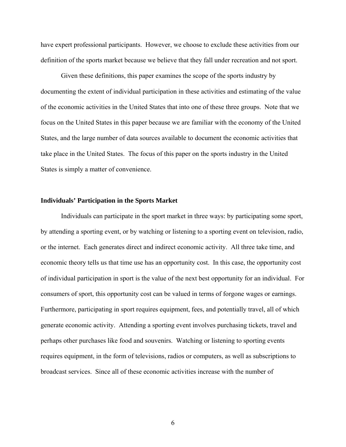have expert professional participants. However, we choose to exclude these activities from our definition of the sports market because we believe that they fall under recreation and not sport.

Given these definitions, this paper examines the scope of the sports industry by documenting the extent of individual participation in these activities and estimating of the value of the economic activities in the United States that into one of these three groups. Note that we focus on the United States in this paper because we are familiar with the economy of the United States, and the large number of data sources available to document the economic activities that take place in the United States. The focus of this paper on the sports industry in the United States is simply a matter of convenience.

#### **Individuals' Participation in the Sports Market**

Individuals can participate in the sport market in three ways: by participating some sport, by attending a sporting event, or by watching or listening to a sporting event on television, radio, or the internet. Each generates direct and indirect economic activity. All three take time, and economic theory tells us that time use has an opportunity cost. In this case, the opportunity cost of individual participation in sport is the value of the next best opportunity for an individual. For consumers of sport, this opportunity cost can be valued in terms of forgone wages or earnings. Furthermore, participating in sport requires equipment, fees, and potentially travel, all of which generate economic activity. Attending a sporting event involves purchasing tickets, travel and perhaps other purchases like food and souvenirs. Watching or listening to sporting events requires equipment, in the form of televisions, radios or computers, as well as subscriptions to broadcast services. Since all of these economic activities increase with the number of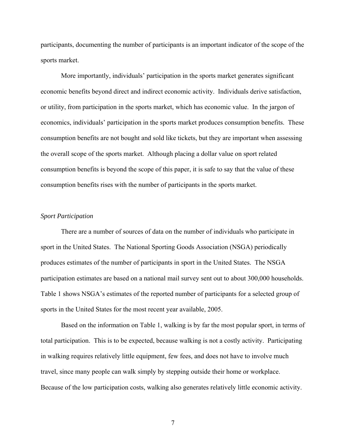participants, documenting the number of participants is an important indicator of the scope of the sports market.

 More importantly, individuals' participation in the sports market generates significant economic benefits beyond direct and indirect economic activity. Individuals derive satisfaction, or utility, from participation in the sports market, which has economic value. In the jargon of economics, individuals' participation in the sports market produces consumption benefits. These consumption benefits are not bought and sold like tickets, but they are important when assessing the overall scope of the sports market. Although placing a dollar value on sport related consumption benefits is beyond the scope of this paper, it is safe to say that the value of these consumption benefits rises with the number of participants in the sports market.

## *Sport Participation*

There are a number of sources of data on the number of individuals who participate in sport in the United States. The National Sporting Goods Association (NSGA) periodically produces estimates of the number of participants in sport in the United States. The NSGA participation estimates are based on a national mail survey sent out to about 300,000 households. Table 1 shows NSGA's estimates of the reported number of participants for a selected group of sports in the United States for the most recent year available, 2005.

Based on the information on Table 1, walking is by far the most popular sport, in terms of total participation. This is to be expected, because walking is not a costly activity. Participating in walking requires relatively little equipment, few fees, and does not have to involve much travel, since many people can walk simply by stepping outside their home or workplace. Because of the low participation costs, walking also generates relatively little economic activity.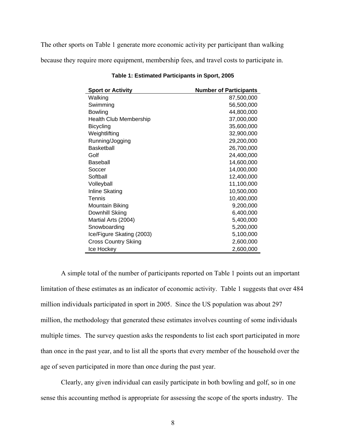The other sports on Table 1 generate more economic activity per participant than walking

because they require more equipment, membership fees, and travel costs to participate in.

| <b>Sport or Activity</b>      | <b>Number of Participants</b> |
|-------------------------------|-------------------------------|
| Walking                       | 87,500,000                    |
| Swimming                      | 56,500,000                    |
| <b>Bowling</b>                | 44,800,000                    |
| <b>Health Club Membership</b> | 37,000,000                    |
| <b>Bicycling</b>              | 35,600,000                    |
| Weightlifting                 | 32,900,000                    |
| Running/Jogging               | 29,200,000                    |
| <b>Basketball</b>             | 26,700,000                    |
| Golf                          | 24,400,000                    |
| Baseball                      | 14,600,000                    |
| Soccer                        | 14,000,000                    |
| Softball                      | 12,400,000                    |
| Volleyball                    | 11,100,000                    |
| Inline Skating                | 10,500,000                    |
| Tennis                        | 10,400,000                    |
| Mountain Biking               | 9,200,000                     |
| Downhill Skiing               | 6,400,000                     |
| Martial Arts (2004)           | 5,400,000                     |
| Snowboarding                  | 5,200,000                     |
| Ice/Figure Skating (2003)     | 5,100,000                     |
| <b>Cross Country Skiing</b>   | 2,600,000                     |
| Ice Hockey                    | 2,600,000                     |

**Table 1: Estimated Participants in Sport, 2005** 

A simple total of the number of participants reported on Table 1 points out an important limitation of these estimates as an indicator of economic activity. Table 1 suggests that over 484 million individuals participated in sport in 2005. Since the US population was about 297 million, the methodology that generated these estimates involves counting of some individuals multiple times. The survey question asks the respondents to list each sport participated in more than once in the past year, and to list all the sports that every member of the household over the age of seven participated in more than once during the past year.

Clearly, any given individual can easily participate in both bowling and golf, so in one sense this accounting method is appropriate for assessing the scope of the sports industry. The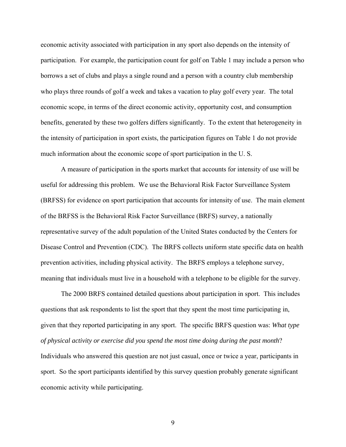economic activity associated with participation in any sport also depends on the intensity of participation. For example, the participation count for golf on Table 1 may include a person who borrows a set of clubs and plays a single round and a person with a country club membership who plays three rounds of golf a week and takes a vacation to play golf every year. The total economic scope, in terms of the direct economic activity, opportunity cost, and consumption benefits, generated by these two golfers differs significantly. To the extent that heterogeneity in the intensity of participation in sport exists, the participation figures on Table 1 do not provide much information about the economic scope of sport participation in the U. S.

A measure of participation in the sports market that accounts for intensity of use will be useful for addressing this problem. We use the Behavioral Risk Factor Surveillance System (BRFSS) for evidence on sport participation that accounts for intensity of use. The main element of the BRFSS is the Behavioral Risk Factor Surveillance (BRFS) survey, a nationally representative survey of the adult population of the United States conducted by the Centers for Disease Control and Prevention (CDC). The BRFS collects uniform state specific data on health prevention activities, including physical activity. The BRFS employs a telephone survey, meaning that individuals must live in a household with a telephone to be eligible for the survey.

The 2000 BRFS contained detailed questions about participation in sport. This includes questions that ask respondents to list the sport that they spent the most time participating in, given that they reported participating in any sport. The specific BRFS question was: *What type of physical activity or exercise did you spend the most time doing during the past month*? Individuals who answered this question are not just casual, once or twice a year, participants in sport. So the sport participants identified by this survey question probably generate significant economic activity while participating.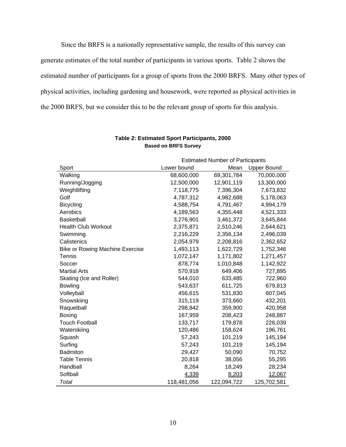Since the BRFS is a nationally representative sample, the results of this survey can generate estimates of the total number of participants in various sports. Table 2 shows the estimated number of participants for a group of sports from the 2000 BRFS. Many other types of physical activities, including gardening and housework, were reported as physical activities in the 2000 BRFS, but we consider this to be the relevant group of sports for this analysis.

|                                        | <b>Estimated Number of Participants</b>   |             |             |  |
|----------------------------------------|-------------------------------------------|-------------|-------------|--|
| Sport                                  | Lower bound<br>Mean<br><b>Upper Bound</b> |             |             |  |
| Walking                                | 68,600,000                                | 69,301,784  | 70,000,000  |  |
| Running/Jogging                        | 12,500,000                                | 12,901,119  | 13,300,000  |  |
| Weightlifting                          | 7,118,775                                 | 7,396,304   | 7,673,832   |  |
| Golf                                   | 4,787,312                                 | 4,982,688   | 5,178,063   |  |
| <b>Bicycling</b>                       | 4,588,754                                 | 4,791,467   | 4,994,179   |  |
| Aerobics                               | 4,189,563                                 | 4,355,448   | 4,521,333   |  |
| <b>Basketball</b>                      | 3,276,901                                 | 3,461,372   | 3,645,844   |  |
| <b>Health Club Workout</b>             | 2,375,871                                 | 2,510,246   | 2,644,621   |  |
| Swimming                               | 2,216,229                                 | 2,356,134   | 2,496,039   |  |
| Calistenics                            | 2,054,979                                 | 2,208,816   | 2,362,652   |  |
| <b>Bike or Rowing Machine Exercise</b> | 1,493,113                                 | 1,622,729   | 1,752,346   |  |
| Tennis                                 | 1,072,147                                 | 1,171,802   | 1,271,457   |  |
| Soccer                                 | 878,774                                   | 1,010,848   | 1,142,922   |  |
| <b>Martial Arts</b>                    | 570,918                                   | 649,406     | 727,895     |  |
| Skating (Ice and Roller)               | 544,010                                   | 633,485     | 722,960     |  |
| <b>Bowling</b>                         | 543,637                                   | 611,725     | 679,813     |  |
| Volleyball                             | 456,615                                   | 531,830     | 607,045     |  |
| Snowskiing                             | 315,119                                   | 373,660     | 432,201     |  |
| Raquetball                             | 298,842                                   | 359,900     | 420,958     |  |
| <b>Boxing</b>                          | 167,959                                   | 208,423     | 248,887     |  |
| <b>Touch Football</b>                  | 133,717                                   | 179,878     | 226,039     |  |
| Waterskiing                            | 120,486                                   | 158,624     | 196,761     |  |
| Squash                                 | 57,243                                    | 101,219     | 145,194     |  |
| Surfing                                | 57,243                                    | 101,219     | 145,194     |  |
| Badmiton                               | 29,427                                    | 50,090      | 70,752      |  |
| <b>Table Tennis</b>                    | 20,818                                    | 38,056      | 55,295      |  |
| Handball                               | 8,264                                     | 18,249      | 28,234      |  |
| Softball                               | 4,339                                     | 8,203       | 12,067      |  |
| Total                                  | 118,481,056                               | 122,094,722 | 125,702,581 |  |

# **Table 2: Estimated Sport Participants, 2000 Based on BRFS Survey**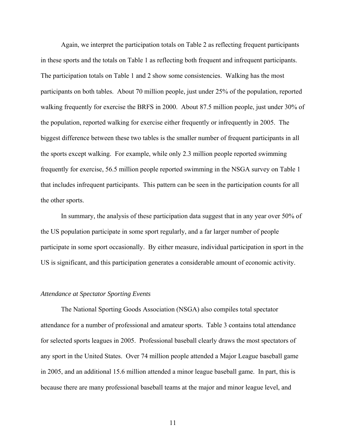Again, we interpret the participation totals on Table 2 as reflecting frequent participants in these sports and the totals on Table 1 as reflecting both frequent and infrequent participants. The participation totals on Table 1 and 2 show some consistencies. Walking has the most participants on both tables. About 70 million people, just under 25% of the population, reported walking frequently for exercise the BRFS in 2000. About 87.5 million people, just under 30% of the population, reported walking for exercise either frequently or infrequently in 2005. The biggest difference between these two tables is the smaller number of frequent participants in all the sports except walking. For example, while only 2.3 million people reported swimming frequently for exercise, 56.5 million people reported swimming in the NSGA survey on Table 1 that includes infrequent participants. This pattern can be seen in the participation counts for all the other sports.

In summary, the analysis of these participation data suggest that in any year over 50% of the US population participate in some sport regularly, and a far larger number of people participate in some sport occasionally. By either measure, individual participation in sport in the US is significant, and this participation generates a considerable amount of economic activity.

#### *Attendance at Spectator Sporting Events*

The National Sporting Goods Association (NSGA) also compiles total spectator attendance for a number of professional and amateur sports. Table 3 contains total attendance for selected sports leagues in 2005. Professional baseball clearly draws the most spectators of any sport in the United States. Over 74 million people attended a Major League baseball game in 2005, and an additional 15.6 million attended a minor league baseball game. In part, this is because there are many professional baseball teams at the major and minor league level, and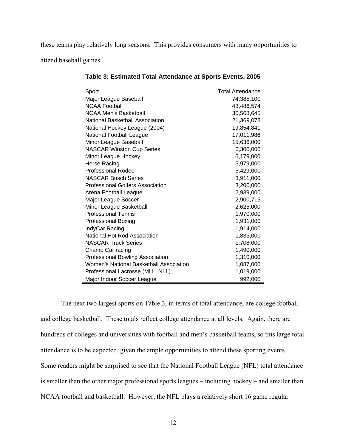these teams play relatively long seasons. This provides consumers with many opportunities to attend baseball games.

| Sport                                   | <b>Total Attendance</b> |
|-----------------------------------------|-------------------------|
| Major League Baseball                   | 74,385,100              |
| <b>NCAA Football</b>                    | 43,486,574              |
| <b>NCAA Men's Basketball</b>            | 30,568,645              |
| National Basketball Association         | 21,369,078              |
| National Hockey League (2004)           | 19,854,841              |
| National Football League                | 17,011,986              |
| Minor League Baseball                   | 15,636,000              |
| <b>NASCAR Winston Cup Series</b>        | 6,300,000               |
| Minor League Hockey                     | 6,179,000               |
| Horse Racing                            | 5,979,000               |
| <b>Professional Rodeo</b>               | 5,429,000               |
| <b>NASCAR Busch Series</b>              | 3,911,000               |
| Professional Golfers Association        | 3,200,000               |
| Arena Football League                   | 2,939,000               |
| Major League Soccer                     | 2,900,715               |
| Minor League Basketball                 | 2,625,000               |
| <b>Professional Tennis</b>              | 1,970,000               |
| <b>Professional Boxing</b>              | 1,931,000               |
| IndyCar Racing                          | 1,914,000               |
| National Hot Rod Association            | 1,835,000               |
| <b>NASCAR Truck Series</b>              | 1,708,000               |
| Champ Car racing                        | 1,490,000               |
| Professional Bowling Association        | 1,310,000               |
| Women's National Basketball Association | 1,087,000               |
| Professional Lacrosse (MLL, NLL)        | 1,019,000               |
| Major Indoor Soccer League              | 992,000                 |

**Table 3: Estimated Total Attendance at Sports Events, 2005** 

The next two largest sports on Table 3, in terms of total attendance, are college football and college basketball. These totals reflect college attendance at all levels. Again, there are hundreds of colleges and universities with football and men's basketball teams, so this large total attendance is to be expected, given the ample opportunities to attend these sporting events. Some readers might be surprised to see that the National Football League (NFL) total attendance is smaller than the other major professional sports leagues – including hockey – and smaller than NCAA football and basketball. However, the NFL plays a relatively short 16 game regular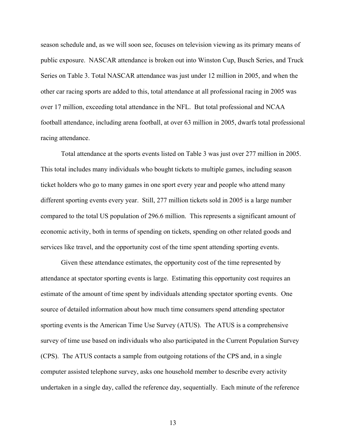season schedule and, as we will soon see, focuses on television viewing as its primary means of public exposure. NASCAR attendance is broken out into Winston Cup, Busch Series, and Truck Series on Table 3. Total NASCAR attendance was just under 12 million in 2005, and when the other car racing sports are added to this, total attendance at all professional racing in 2005 was over 17 million, exceeding total attendance in the NFL. But total professional and NCAA football attendance, including arena football, at over 63 million in 2005, dwarfs total professional racing attendance.

Total attendance at the sports events listed on Table 3 was just over 277 million in 2005. This total includes many individuals who bought tickets to multiple games, including season ticket holders who go to many games in one sport every year and people who attend many different sporting events every year. Still, 277 million tickets sold in 2005 is a large number compared to the total US population of 296.6 million. This represents a significant amount of economic activity, both in terms of spending on tickets, spending on other related goods and services like travel, and the opportunity cost of the time spent attending sporting events.

Given these attendance estimates, the opportunity cost of the time represented by attendance at spectator sporting events is large. Estimating this opportunity cost requires an estimate of the amount of time spent by individuals attending spectator sporting events. One source of detailed information about how much time consumers spend attending spectator sporting events is the American Time Use Survey (ATUS). The ATUS is a comprehensive survey of time use based on individuals who also participated in the Current Population Survey (CPS). The ATUS contacts a sample from outgoing rotations of the CPS and, in a single computer assisted telephone survey, asks one household member to describe every activity undertaken in a single day, called the reference day, sequentially. Each minute of the reference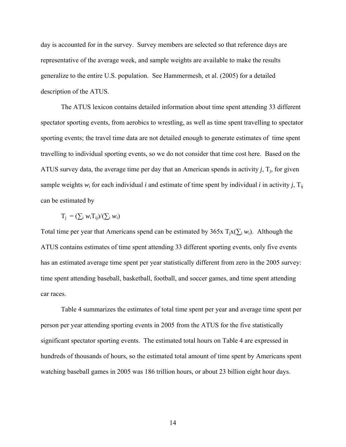day is accounted for in the survey. Survey members are selected so that reference days are representative of the average week, and sample weights are available to make the results generalize to the entire U.S. population. See Hammermesh, et al. (2005) for a detailed description of the ATUS.

The ATUS lexicon contains detailed information about time spent attending 33 different spectator sporting events, from aerobics to wrestling, as well as time spent travelling to spectator sporting events; the travel time data are not detailed enough to generate estimates of time spent travelling to individual sporting events, so we do not consider that time cost here. Based on the ATUS survey data, the average time per day that an American spends in activity  $j$ ,  $T_i$ , for given sample weights  $w_i$  for each individual *i* and estimate of time spent by individual *i* in activity *j*,  $T_{ij}$ can be estimated by

$$
T_j = (\sum_i w_i T_{ij})/(\sum_i w_i)
$$

Total time per year that Americans spend can be estimated by  $365x$  T<sub>i</sub>x( $\sum_i w_i$ ). Although the ATUS contains estimates of time spent attending 33 different sporting events, only five events has an estimated average time spent per year statistically different from zero in the 2005 survey: time spent attending baseball, basketball, football, and soccer games, and time spent attending car races.

Table 4 summarizes the estimates of total time spent per year and average time spent per person per year attending sporting events in 2005 from the ATUS for the five statistically significant spectator sporting events. The estimated total hours on Table 4 are expressed in hundreds of thousands of hours, so the estimated total amount of time spent by Americans spent watching baseball games in 2005 was 186 trillion hours, or about 23 billion eight hour days.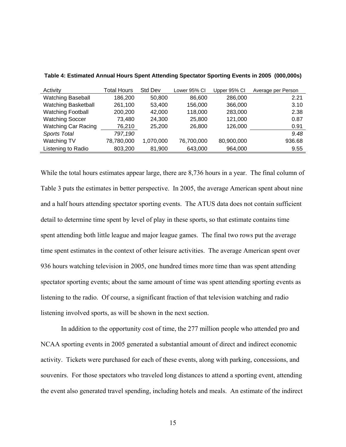| Activity                   | Total Hours | Std Dev   | Lower 95% CI | Upper 95% CI | Average per Person |
|----------------------------|-------------|-----------|--------------|--------------|--------------------|
| <b>Watching Baseball</b>   | 186,200     | 50,800    | 86,600       | 286,000      | 2.21               |
| <b>Watching Basketball</b> | 261,100     | 53,400    | 156,000      | 366,000      | 3.10               |
| <b>Watching Football</b>   | 200,200     | 42,000    | 118,000      | 283,000      | 2.38               |
| <b>Watching Soccer</b>     | 73,480      | 24,300    | 25,800       | 121,000      | 0.87               |
| Watching Car Racing        | 76,210      | 25,200    | 26,800       | 126,000      | 0.91               |
| Sports Total               | 797,190     |           |              |              | 9.48               |
| Watching TV                | 78,780,000  | 1,070,000 | 76,700,000   | 80,900,000   | 936.68             |
| Listening to Radio         | 803,200     | 81,900    | 643,000      | 964,000      | 9.55               |

**Table 4: Estimated Annual Hours Spent Attending Spectator Sporting Events in 2005 (000,000s)** 

While the total hours estimates appear large, there are 8,736 hours in a year. The final column of Table 3 puts the estimates in better perspective. In 2005, the average American spent about nine and a half hours attending spectator sporting events. The ATUS data does not contain sufficient detail to determine time spent by level of play in these sports, so that estimate contains time spent attending both little league and major league games. The final two rows put the average time spent estimates in the context of other leisure activities. The average American spent over 936 hours watching television in 2005, one hundred times more time than was spent attending spectator sporting events; about the same amount of time was spent attending sporting events as listening to the radio. Of course, a significant fraction of that television watching and radio listening involved sports, as will be shown in the next section.

In addition to the opportunity cost of time, the 277 million people who attended pro and NCAA sporting events in 2005 generated a substantial amount of direct and indirect economic activity. Tickets were purchased for each of these events, along with parking, concessions, and souvenirs. For those spectators who traveled long distances to attend a sporting event, attending the event also generated travel spending, including hotels and meals. An estimate of the indirect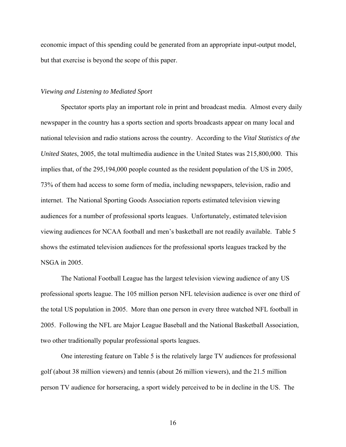economic impact of this spending could be generated from an appropriate input-output model, but that exercise is beyond the scope of this paper.

#### *Viewing and Listening to Mediated Sport*

Spectator sports play an important role in print and broadcast media. Almost every daily newspaper in the country has a sports section and sports broadcasts appear on many local and national television and radio stations across the country. According to the *Vital Statistics of the United States*, 2005, the total multimedia audience in the United States was 215,800,000. This implies that, of the 295,194,000 people counted as the resident population of the US in 2005, 73% of them had access to some form of media, including newspapers, television, radio and internet. The National Sporting Goods Association reports estimated television viewing audiences for a number of professional sports leagues. Unfortunately, estimated television viewing audiences for NCAA football and men's basketball are not readily available. Table 5 shows the estimated television audiences for the professional sports leagues tracked by the NSGA in 2005.

The National Football League has the largest television viewing audience of any US professional sports league. The 105 million person NFL television audience is over one third of the total US population in 2005. More than one person in every three watched NFL football in 2005. Following the NFL are Major League Baseball and the National Basketball Association, two other traditionally popular professional sports leagues.

One interesting feature on Table 5 is the relatively large TV audiences for professional golf (about 38 million viewers) and tennis (about 26 million viewers), and the 21.5 million person TV audience for horseracing, a sport widely perceived to be in decline in the US. The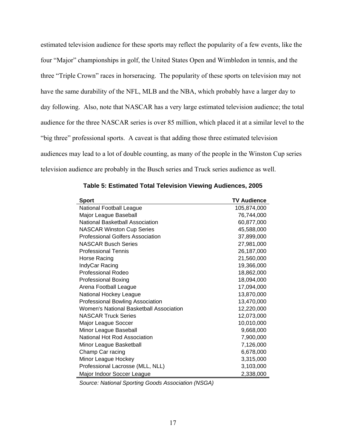estimated television audience for these sports may reflect the popularity of a few events, like the four "Major" championships in golf, the United States Open and Wimbledon in tennis, and the three "Triple Crown" races in horseracing. The popularity of these sports on television may not have the same durability of the NFL, MLB and the NBA, which probably have a larger day to day following. Also, note that NASCAR has a very large estimated television audience; the total audience for the three NASCAR series is over 85 million, which placed it at a similar level to the "big three" professional sports. A caveat is that adding those three estimated television audiences may lead to a lot of double counting, as many of the people in the Winston Cup series television audience are probably in the Busch series and Truck series audience as well.

| <b>Sport</b>                            | <b>TV Audience</b> |
|-----------------------------------------|--------------------|
| National Football League                | 105,874,000        |
| Major League Baseball                   | 76,744,000         |
| National Basketball Association         | 60,877,000         |
| <b>NASCAR Winston Cup Series</b>        | 45,588,000         |
| Professional Golfers Association        | 37,899,000         |
| <b>NASCAR Busch Series</b>              | 27,981,000         |
| <b>Professional Tennis</b>              | 26,187,000         |
| Horse Racing                            | 21,560,000         |
| IndyCar Racing                          | 19,366,000         |
| <b>Professional Rodeo</b>               | 18,862,000         |
| <b>Professional Boxing</b>              | 18,094,000         |
| Arena Football League                   | 17,094,000         |
| National Hockey League                  | 13,870,000         |
| <b>Professional Bowling Association</b> | 13,470,000         |
| Women's National Basketball Association | 12,220,000         |
| <b>NASCAR Truck Series</b>              | 12,073,000         |
| Major League Soccer                     | 10,010,000         |
| Minor League Baseball                   | 9,668,000          |
| National Hot Rod Association            | 7,900,000          |
| Minor League Basketball                 | 7,126,000          |
| Champ Car racing                        | 6,678,000          |
| Minor League Hockey                     | 3,315,000          |
| Professional Lacrosse (MLL, NLL)        | 3,103,000          |
| Major Indoor Soccer League              | 2,338,000          |

|  | Table 5: Estimated Total Television Viewing Audiences, 2005 |  |  |  |  |
|--|-------------------------------------------------------------|--|--|--|--|
|--|-------------------------------------------------------------|--|--|--|--|

*Source: National Sporting Goods Association (NSGA)*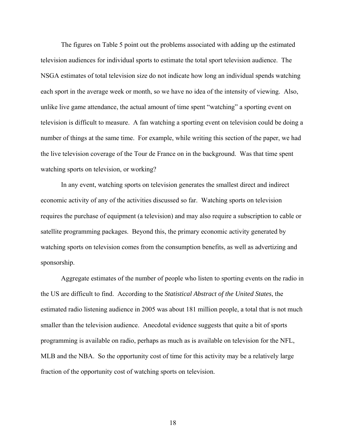The figures on Table 5 point out the problems associated with adding up the estimated television audiences for individual sports to estimate the total sport television audience. The NSGA estimates of total television size do not indicate how long an individual spends watching each sport in the average week or month, so we have no idea of the intensity of viewing. Also, unlike live game attendance, the actual amount of time spent "watching" a sporting event on television is difficult to measure. A fan watching a sporting event on television could be doing a number of things at the same time. For example, while writing this section of the paper, we had the live television coverage of the Tour de France on in the background. Was that time spent watching sports on television, or working?

In any event, watching sports on television generates the smallest direct and indirect economic activity of any of the activities discussed so far. Watching sports on television requires the purchase of equipment (a television) and may also require a subscription to cable or satellite programming packages. Beyond this, the primary economic activity generated by watching sports on television comes from the consumption benefits, as well as advertizing and sponsorship.

Aggregate estimates of the number of people who listen to sporting events on the radio in the US are difficult to find. According to the *Statistical Abstract of the United States*, the estimated radio listening audience in 2005 was about 181 million people, a total that is not much smaller than the television audience. Anecdotal evidence suggests that quite a bit of sports programming is available on radio, perhaps as much as is available on television for the NFL, MLB and the NBA. So the opportunity cost of time for this activity may be a relatively large fraction of the opportunity cost of watching sports on television.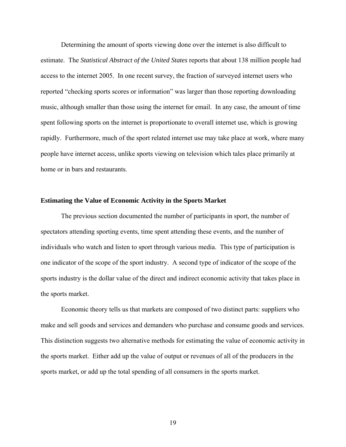Determining the amount of sports viewing done over the internet is also difficult to estimate. The *Statistical Abstract of the United States* reports that about 138 million people had access to the internet 2005. In one recent survey, the fraction of surveyed internet users who reported "checking sports scores or information" was larger than those reporting downloading music, although smaller than those using the internet for email. In any case, the amount of time spent following sports on the internet is proportionate to overall internet use, which is growing rapidly. Furthermore, much of the sport related internet use may take place at work, where many people have internet access, unlike sports viewing on television which tales place primarily at home or in bars and restaurants.

#### **Estimating the Value of Economic Activity in the Sports Market**

The previous section documented the number of participants in sport, the number of spectators attending sporting events, time spent attending these events, and the number of individuals who watch and listen to sport through various media. This type of participation is one indicator of the scope of the sport industry. A second type of indicator of the scope of the sports industry is the dollar value of the direct and indirect economic activity that takes place in the sports market.

Economic theory tells us that markets are composed of two distinct parts: suppliers who make and sell goods and services and demanders who purchase and consume goods and services. This distinction suggests two alternative methods for estimating the value of economic activity in the sports market. Either add up the value of output or revenues of all of the producers in the sports market, or add up the total spending of all consumers in the sports market.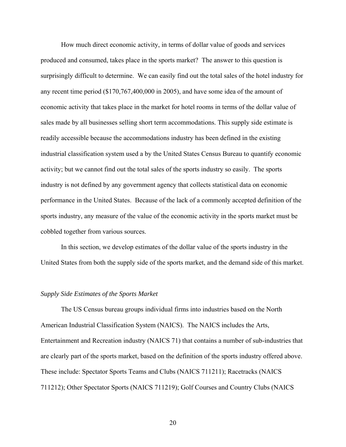How much direct economic activity, in terms of dollar value of goods and services produced and consumed, takes place in the sports market? The answer to this question is surprisingly difficult to determine. We can easily find out the total sales of the hotel industry for any recent time period (\$170,767,400,000 in 2005), and have some idea of the amount of economic activity that takes place in the market for hotel rooms in terms of the dollar value of sales made by all businesses selling short term accommodations. This supply side estimate is readily accessible because the accommodations industry has been defined in the existing industrial classification system used a by the United States Census Bureau to quantify economic activity; but we cannot find out the total sales of the sports industry so easily. The sports industry is not defined by any government agency that collects statistical data on economic performance in the United States. Because of the lack of a commonly accepted definition of the sports industry, any measure of the value of the economic activity in the sports market must be cobbled together from various sources.

In this section, we develop estimates of the dollar value of the sports industry in the United States from both the supply side of the sports market, and the demand side of this market.

# *Supply Side Estimates of the Sports Market*

The US Census bureau groups individual firms into industries based on the North American Industrial Classification System (NAICS). The NAICS includes the Arts, Entertainment and Recreation industry (NAICS 71) that contains a number of sub-industries that are clearly part of the sports market, based on the definition of the sports industry offered above. These include: Spectator Sports Teams and Clubs (NAICS 711211); Racetracks (NAICS 711212); Other Spectator Sports (NAICS 711219); Golf Courses and Country Clubs (NAICS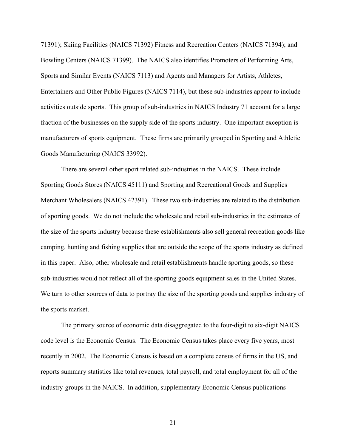71391); Skiing Facilities (NAICS 71392) Fitness and Recreation Centers (NAICS 71394); and Bowling Centers (NAICS 71399). The NAICS also identifies Promoters of Performing Arts, Sports and Similar Events (NAICS 7113) and Agents and Managers for Artists, Athletes, Entertainers and Other Public Figures (NAICS 7114), but these sub-industries appear to include activities outside sports. This group of sub-industries in NAICS Industry 71 account for a large fraction of the businesses on the supply side of the sports industry. One important exception is manufacturers of sports equipment. These firms are primarily grouped in Sporting and Athletic Goods Manufacturing (NAICS 33992).

There are several other sport related sub-industries in the NAICS. These include Sporting Goods Stores (NAICS 45111) and Sporting and Recreational Goods and Supplies Merchant Wholesalers (NAICS 42391). These two sub-industries are related to the distribution of sporting goods. We do not include the wholesale and retail sub-industries in the estimates of the size of the sports industry because these establishments also sell general recreation goods like camping, hunting and fishing supplies that are outside the scope of the sports industry as defined in this paper. Also, other wholesale and retail establishments handle sporting goods, so these sub-industries would not reflect all of the sporting goods equipment sales in the United States. We turn to other sources of data to portray the size of the sporting goods and supplies industry of the sports market.

The primary source of economic data disaggregated to the four-digit to six-digit NAICS code level is the Economic Census. The Economic Census takes place every five years, most recently in 2002. The Economic Census is based on a complete census of firms in the US, and reports summary statistics like total revenues, total payroll, and total employment for all of the industry-groups in the NAICS. In addition, supplementary Economic Census publications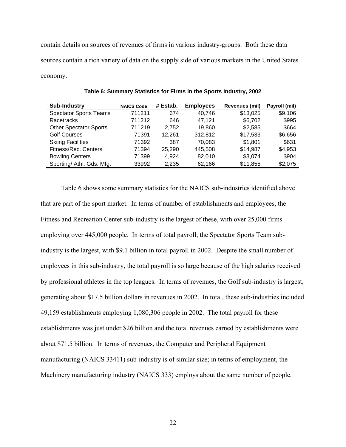contain details on sources of revenues of firms in various industry-groups. Both these data sources contain a rich variety of data on the supply side of various markets in the United States economy.

| Sub-Industry                  | <b>NAICS Code</b> | # Estab. | <b>Employees</b> | <b>Revenues (mil)</b> | Payroll (mil) |
|-------------------------------|-------------------|----------|------------------|-----------------------|---------------|
| <b>Spectator Sports Teams</b> | 711211            | 674      | 40.746           | \$13,025              | \$9,106       |
| Racetracks                    | 711212            | 646      | 47.121           | \$6,702               | \$995         |
| <b>Other Spectator Sports</b> | 711219            | 2.752    | 19.860           | \$2,585               | \$664         |
| <b>Golf Courses</b>           | 71391             | 12.261   | 312,812          | \$17,533              | \$6,656       |
| <b>Skiing Facilities</b>      | 71392             | 387      | 70.083           | \$1,801               | \$631         |
| Fitness/Rec. Centers          | 71394             | 25,290   | 445,508          | \$14,987              | \$4,953       |
| <b>Bowling Centers</b>        | 71399             | 4.924    | 82.010           | \$3,074               | \$904         |
| Sporting/ Athl. Gds. Mfg.     | 33992             | 2,235    | 62,166           | \$11,855              | \$2,075       |

**Table 6: Summary Statistics for Firms in the Sports Industry, 2002** 

Table 6 shows some summary statistics for the NAICS sub-industries identified above that are part of the sport market. In terms of number of establishments and employees, the Fitness and Recreation Center sub-industry is the largest of these, with over 25,000 firms employing over 445,000 people. In terms of total payroll, the Spectator Sports Team subindustry is the largest, with \$9.1 billion in total payroll in 2002. Despite the small number of employees in this sub-industry, the total payroll is so large because of the high salaries received by professional athletes in the top leagues. In terms of revenues, the Golf sub-industry is largest, generating about \$17.5 billion dollars in revenues in 2002. In total, these sub-industries included 49,159 establishments employing 1,080,306 people in 2002. The total payroll for these establishments was just under \$26 billion and the total revenues earned by establishments were about \$71.5 billion. In terms of revenues, the Computer and Peripheral Equipment manufacturing (NAICS 33411) sub-industry is of similar size; in terms of employment, the Machinery manufacturing industry (NAICS 333) employs about the same number of people.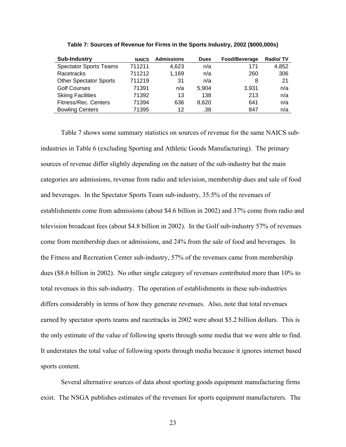| <b>Sub-Industry</b>           | <b>NAICS</b> | <b>Admissions</b> | <b>Dues</b> | Food/Beverage | <b>Radio/TV</b> |
|-------------------------------|--------------|-------------------|-------------|---------------|-----------------|
| <b>Spectator Sports Teams</b> | 711211       | 4.623             | n/a         | 171           | 4,852           |
| Racetracks                    | 711212       | 1,169             | n/a         | 260           | 306             |
| <b>Other Spectator Sports</b> | 711219       | 31                | n/a         | 8             | 21              |
| <b>Golf Courses</b>           | 71391        | n/a               | 5.904       | 3.931         | n/a             |
| <b>Skiing Facilities</b>      | 71392        | 13                | 138         | 213           | n/a             |
| Fitness/Rec. Centers          | 71394        | 636               | 8.620       | 641           | n/a             |
| <b>Bowling Centers</b>        | 71395        | 12                | .38         | 847           | n/a             |

**Table 7: Sources of Revenue for Firms in the Sports Industry, 2002 (\$000,000s)** 

Table 7 shows some summary statistics on sources of revenue for the same NAICS subindustries in Table 6 (excluding Sporting and Athletic Goods Manufacturing). The primary sources of revenue differ slightly depending on the nature of the sub-industry but the main categories are admissions, revenue from radio and television, membership dues and sale of food and beverages. In the Spectator Sports Team sub-industry, 35.5% of the revenues of establishments come from admissions (about \$4.6 billion in 2002) and 37% come from radio and television broadcast fees (about \$4.8 billion in 2002). In the Golf sub-industry 57% of revenues come from membership dues or admissions, and 24% from the sale of food and beverages. In the Fitness and Recreation Center sub-industry, 57% of the revenues came from membership dues (\$8.6 billion in 2002). No other single category of revenues contributed more than 10% to total revenues in this sub-industry. The operation of establishments in these sub-industries differs considerably in terms of how they generate revenues. Also, note that total revenues earned by spectator sports teams and racetracks in 2002 were about \$5.2 billion dollars. This is the only estimate of the value of following sports through some media that we were able to find. It understates the total value of following sports through media because it ignores internet based sports content.

Several alternative sources of data about sporting goods equipment manufacturing firms exist. The NSGA publishes estimates of the revenues for sports equipment manufacturers. The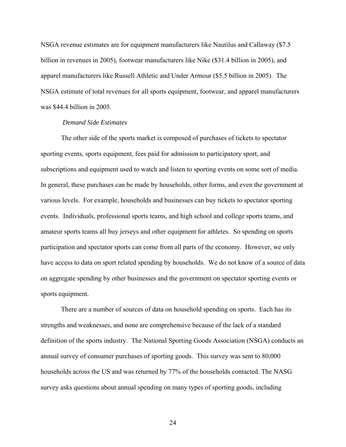NSGA revenue estimates are for equipment manufacturers like Nautilus and Callaway (\$7.5 billion in revenues in 2005), footwear manufacturers like Nike (\$31.4 billion in 2005), and apparel manufacturers like Russell Athletic and Under Armour (\$5.5 billion in 2005). The NSGA estimate of total revenues for all sports equipment, footwear, and apparel manufacturers was \$44.4 billion in 2005.

#### *Demand Side Estimates*

The other side of the sports market is composed of purchases of tickets to spectator sporting events, sports equipment, fees paid for admission to participatory sport, and subscriptions and equipment used to watch and listen to sporting events on some sort of media. In general, these purchases can be made by households, other forms, and even the government at various levels. For example, households and businesses can buy tickets to spectator sporting events. Individuals, professional sports teams, and high school and college sports teams, and amateur sports teams all buy jerseys and other equipment for athletes. So spending on sports participation and spectator sports can come from all parts of the economy. However, we only have access to data on sport related spending by households. We do not know of a source of data on aggregate spending by other businesses and the government on spectator sporting events or sports equipment.

There are a number of sources of data on household spending on sports. Each has its strengths and weaknesses, and none are comprehensive because of the lack of a standard definition of the sports industry. The National Sporting Goods Association (NSGA) conducts an annual survey of consumer purchases of sporting goods. This survey was sent to 80,000 households across the US and was returned by 77% of the households contacted. The NASG survey asks questions about annual spending on many types of sporting goods, including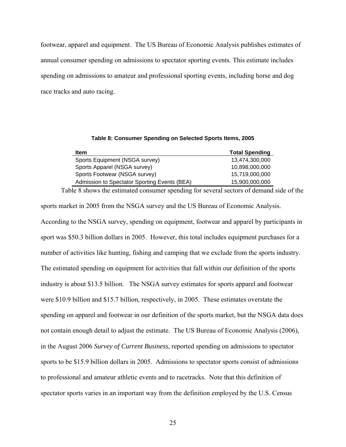footwear, apparel and equipment. The US Bureau of Economic Analysis publishes estimates of annual consumer spending on admissions to spectator sporting events. This estimate includes spending on admissions to amateur and professional sporting events, including horse and dog race tracks and auto racing.

| Table 8: Consumer Spending on Selected Sports Items, 2005 |  |  |  |
|-----------------------------------------------------------|--|--|--|
|-----------------------------------------------------------|--|--|--|

| <b>Item</b>                                  | <b>Total Spending</b> |
|----------------------------------------------|-----------------------|
| Sports Equipment (NSGA survey)               | 13,474,300,000        |
| Sports Apparel (NSGA survey)                 | 10,898,000,000        |
| Sports Footwear (NSGA survey)                | 15,719,000,000        |
| Admission to Spectator Sporting Events (BEA) | 15,900,000,000        |

 Table 8 shows the estimated consumer spending for several sectors of demand side of the sports market in 2005 from the NSGA survey and the US Bureau of Economic Analysis. According to the NSGA survey, spending on equipment, footwear and apparel by participants in sport was \$50.3 billion dollars in 2005. However, this total includes equipment purchases for a number of activities like hunting, fishing and camping that we exclude from the sports industry. The estimated spending on equipment for activities that fall within our definition of the sports industry is about \$13.5 billion. The NSGA survey estimates for sports apparel and footwear were \$10.9 billion and \$15.7 billion, respectively, in 2005. These estimates overstate the spending on apparel and footwear in our definition of the sports market, but the NSGA data does not contain enough detail to adjust the estimate. The US Bureau of Economic Analysis (2006), in the August 2006 *Survey of Current Business*, reported spending on admissions to spectator sports to be \$15.9 billion dollars in 2005. Admissions to spectator sports consist of admissions to professional and amateur athletic events and to racetracks. Note that this definition of spectator sports varies in an important way from the definition employed by the U.S. Census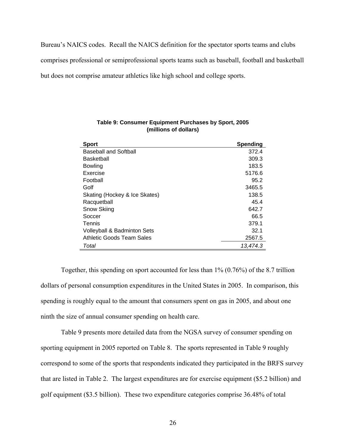Bureau's NAICS codes. Recall the NAICS definition for the spectator sports teams and clubs comprises professional or semiprofessional sports teams such as baseball, football and basketball but does not comprise amateur athletics like high school and college sports.

| <b>Sport</b>                           | <b>Spending</b> |
|----------------------------------------|-----------------|
| <b>Baseball and Softball</b>           | 372.4           |
| <b>Basketball</b>                      | 309.3           |
| <b>Bowling</b>                         | 183.5           |
| Exercise                               | 5176.6          |
| Football                               | 95.2            |
| Golf                                   | 3465.5          |
| Skating (Hockey & Ice Skates)          | 138.5           |
| Racquetball                            | 45.4            |
| Snow Skiing                            | 642.7           |
| Soccer                                 | 66.5            |
| Tennis                                 | 379.1           |
| <b>Volleyball &amp; Badminton Sets</b> | 32.1            |
| Athletic Goods Team Sales              | 2567.5          |
| Total                                  | 13,474.3        |

#### **Table 9: Consumer Equipment Purchases by Sport, 2005 (millions of dollars)**

Together, this spending on sport accounted for less than 1% (0.76%) of the 8.7 trillion dollars of personal consumption expenditures in the United States in 2005. In comparison, this spending is roughly equal to the amount that consumers spent on gas in 2005, and about one ninth the size of annual consumer spending on health care.

 Table 9 presents more detailed data from the NGSA survey of consumer spending on sporting equipment in 2005 reported on Table 8. The sports represented in Table 9 roughly correspond to some of the sports that respondents indicated they participated in the BRFS survey that are listed in Table 2. The largest expenditures are for exercise equipment (\$5.2 billion) and golf equipment (\$3.5 billion). These two expenditure categories comprise 36.48% of total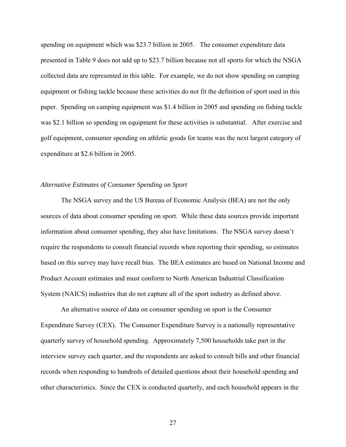spending on equipment which was \$23.7 billion in 2005. The consumer expenditure data presented in Table 9 does not add up to \$23.7 billion because not all sports for which the NSGA collected data are represented in this table. For example, we do not show spending on camping equipment or fishing tackle because these activities do not fit the definition of sport used in this paper. Spending on camping equipment was \$1.4 billion in 2005 and spending on fishing tackle was \$2.1 billion so spending on equipment for these activities is substantial. After exercise and golf equipment, consumer spending on athletic goods for teams was the next largest category of expenditure at \$2.6 billion in 2005.

#### *Alternative Estimates of Consumer Spending on Sport*

The NSGA survey and the US Bureau of Economic Analysis (BEA) are not the only sources of data about consumer spending on sport. While these data sources provide important information about consumer spending, they also have limitations. The NSGA survey doesn't require the respondents to consult financial records when reporting their spending, so estimates based on this survey may have recall bias. The BEA estimates are based on National Income and Product Account estimates and must conform to North American Industrial Classification System (NAICS) industries that do not capture all of the sport industry as defined above.

An alternative source of data on consumer spending on sport is the Consumer Expenditure Survey (CEX). The Consumer Expenditure Survey is a nationally representative quarterly survey of household spending. Approximately 7,500 households take part in the interview survey each quarter, and the respondents are asked to consult bills and other financial records when responding to hundreds of detailed questions about their household spending and other characteristics. Since the CEX is conducted quarterly, and each household appears in the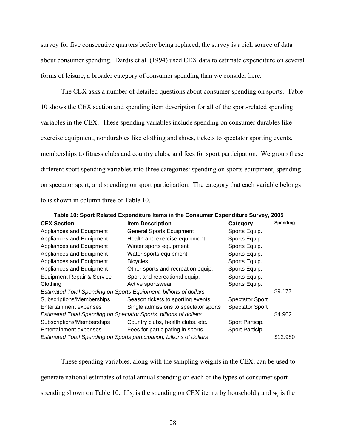survey for five consecutive quarters before being replaced, the survey is a rich source of data about consumer spending. Dardis et al. (1994) used CEX data to estimate expenditure on several forms of leisure, a broader category of consumer spending than we consider here.

The CEX asks a number of detailed questions about consumer spending on sports. Table 10 shows the CEX section and spending item description for all of the sport-related spending variables in the CEX. These spending variables include spending on consumer durables like exercise equipment, nondurables like clothing and shoes, tickets to spectator sporting events, memberships to fitness clubs and country clubs, and fees for sport participation. We group these different sport spending variables into three categories: spending on sports equipment, spending on spectator sport, and spending on sport participation. The category that each variable belongs to is shown in column three of Table 10.

| <b>CEX Section</b>                                                    | <b>Item Description</b>               | Category               | Spending |
|-----------------------------------------------------------------------|---------------------------------------|------------------------|----------|
| Appliances and Equipment                                              | <b>General Sports Equipment</b>       | Sports Equip.          |          |
| Appliances and Equipment                                              | Health and exercise equipment         | Sports Equip.          |          |
| Appliances and Equipment                                              | Winter sports equipment               | Sports Equip.          |          |
| Appliances and Equipment                                              | Water sports equipment                | Sports Equip.          |          |
| Appliances and Equipment                                              | <b>Bicycles</b>                       | Sports Equip.          |          |
| Appliances and Equipment                                              | Other sports and recreation equip.    | Sports Equip.          |          |
| <b>Equipment Repair &amp; Service</b>                                 | Sport and recreational equip.         | Sports Equip.          |          |
| Clothing                                                              | Active sportswear                     | Sports Equip.          |          |
| Estimated Total Spending on Sports Equipment, billions of dollars     |                                       |                        | \$9.177  |
| Subscriptions/Memberships                                             | Season tickets to sporting events     | <b>Spectator Sport</b> |          |
| Entertainment expenses                                                | Single admissions to spectator sports | <b>Spectator Sport</b> |          |
| Estimated Total Spending on Spectator Sports, billions of dollars     |                                       |                        | \$4.902  |
| Subscriptions/Memberships                                             | Country clubs, health clubs, etc.     | Sport Particip.        |          |
| <b>Entertainment expenses</b>                                         | Fees for participating in sports      | Sport Particip.        |          |
| Estimated Total Spending on Sports participation, billions of dollars |                                       | \$12.980               |          |

**Table 10: Sport Related Expenditure Items in the Consumer Expenditure Survey, 2005** 

These spending variables, along with the sampling weights in the CEX, can be used to generate national estimates of total annual spending on each of the types of consumer sport spending shown on Table 10. If  $s_i$  is the spending on CEX item *s* by household *j* and  $w_i$  is the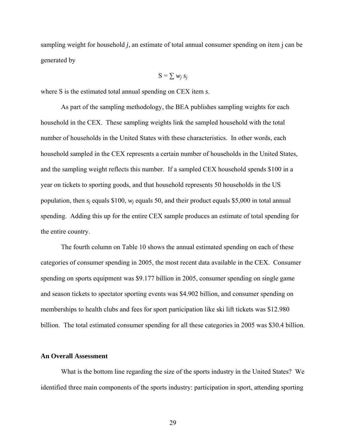sampling weight for household *j*, an estimate of total annual consumer spending on item j can be generated by

$$
S = \sum w_j s_j
$$

where S is the estimated total annual spending on CEX item *s*.

As part of the sampling methodology, the BEA publishes sampling weights for each household in the CEX. These sampling weights link the sampled household with the total number of households in the United States with these characteristics. In other words, each household sampled in the CEX represents a certain number of households in the United States, and the sampling weight reflects this number. If a sampled CEX household spends \$100 in a year on tickets to sporting goods, and that household represents 50 households in the US population, then  $s_i$  equals \$100,  $w_i$  equals 50, and their product equals \$5,000 in total annual spending. Adding this up for the entire CEX sample produces an estimate of total spending for the entire country.

The fourth column on Table 10 shows the annual estimated spending on each of these categories of consumer spending in 2005, the most recent data available in the CEX. Consumer spending on sports equipment was \$9.177 billion in 2005, consumer spending on single game and season tickets to spectator sporting events was \$4.902 billion, and consumer spending on memberships to health clubs and fees for sport participation like ski lift tickets was \$12.980 billion. The total estimated consumer spending for all these categories in 2005 was \$30.4 billion.

#### **An Overall Assessment**

What is the bottom line regarding the size of the sports industry in the United States? We identified three main components of the sports industry: participation in sport, attending sporting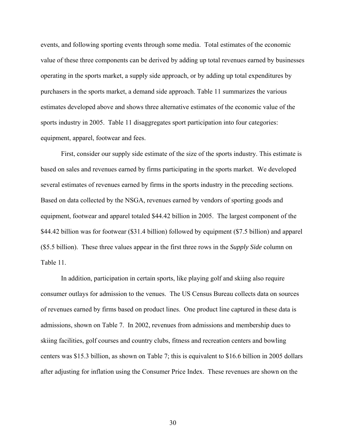events, and following sporting events through some media. Total estimates of the economic value of these three components can be derived by adding up total revenues earned by businesses operating in the sports market, a supply side approach, or by adding up total expenditures by purchasers in the sports market, a demand side approach. Table 11 summarizes the various estimates developed above and shows three alternative estimates of the economic value of the sports industry in 2005. Table 11 disaggregates sport participation into four categories: equipment, apparel, footwear and fees.

First, consider our supply side estimate of the size of the sports industry. This estimate is based on sales and revenues earned by firms participating in the sports market. We developed several estimates of revenues earned by firms in the sports industry in the preceding sections. Based on data collected by the NSGA, revenues earned by vendors of sporting goods and equipment, footwear and apparel totaled \$44.42 billion in 2005. The largest component of the \$44.42 billion was for footwear (\$31.4 billion) followed by equipment (\$7.5 billion) and apparel (\$5.5 billion). These three values appear in the first three rows in the *Supply Side* column on Table 11.

In addition, participation in certain sports, like playing golf and skiing also require consumer outlays for admission to the venues. The US Census Bureau collects data on sources of revenues earned by firms based on product lines. One product line captured in these data is admissions, shown on Table 7. In 2002, revenues from admissions and membership dues to skiing facilities, golf courses and country clubs, fitness and recreation centers and bowling centers was \$15.3 billion, as shown on Table 7; this is equivalent to \$16.6 billion in 2005 dollars after adjusting for inflation using the Consumer Price Index. These revenues are shown on the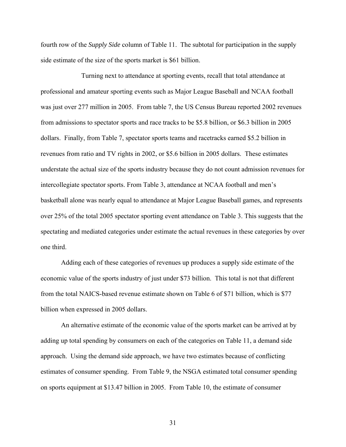fourth row of the *Supply Side* column of Table 11. The subtotal for participation in the supply side estimate of the size of the sports market is \$61 billion.

 Turning next to attendance at sporting events, recall that total attendance at professional and amateur sporting events such as Major League Baseball and NCAA football was just over 277 million in 2005. From table 7, the US Census Bureau reported 2002 revenues from admissions to spectator sports and race tracks to be \$5.8 billion, or \$6.3 billion in 2005 dollars. Finally, from Table 7, spectator sports teams and racetracks earned \$5.2 billion in revenues from ratio and TV rights in 2002, or \$5.6 billion in 2005 dollars. These estimates understate the actual size of the sports industry because they do not count admission revenues for intercollegiate spectator sports. From Table 3, attendance at NCAA football and men's basketball alone was nearly equal to attendance at Major League Baseball games, and represents over 25% of the total 2005 spectator sporting event attendance on Table 3. This suggests that the spectating and mediated categories under estimate the actual revenues in these categories by over one third.

Adding each of these categories of revenues up produces a supply side estimate of the economic value of the sports industry of just under \$73 billion. This total is not that different from the total NAICS-based revenue estimate shown on Table 6 of \$71 billion, which is \$77 billion when expressed in 2005 dollars.

An alternative estimate of the economic value of the sports market can be arrived at by adding up total spending by consumers on each of the categories on Table 11, a demand side approach. Using the demand side approach, we have two estimates because of conflicting estimates of consumer spending. From Table 9, the NSGA estimated total consumer spending on sports equipment at \$13.47 billion in 2005. From Table 10, the estimate of consumer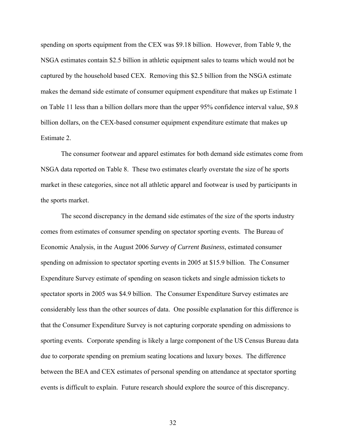spending on sports equipment from the CEX was \$9.18 billion. However, from Table 9, the NSGA estimates contain \$2.5 billion in athletic equipment sales to teams which would not be captured by the household based CEX. Removing this \$2.5 billion from the NSGA estimate makes the demand side estimate of consumer equipment expenditure that makes up Estimate 1 on Table 11 less than a billion dollars more than the upper 95% confidence interval value, \$9.8 billion dollars, on the CEX-based consumer equipment expenditure estimate that makes up Estimate 2.

The consumer footwear and apparel estimates for both demand side estimates come from NSGA data reported on Table 8. These two estimates clearly overstate the size of he sports market in these categories, since not all athletic apparel and footwear is used by participants in the sports market.

The second discrepancy in the demand side estimates of the size of the sports industry comes from estimates of consumer spending on spectator sporting events. The Bureau of Economic Analysis, in the August 2006 *Survey of Current Business*, estimated consumer spending on admission to spectator sporting events in 2005 at \$15.9 billion. The Consumer Expenditure Survey estimate of spending on season tickets and single admission tickets to spectator sports in 2005 was \$4.9 billion. The Consumer Expenditure Survey estimates are considerably less than the other sources of data. One possible explanation for this difference is that the Consumer Expenditure Survey is not capturing corporate spending on admissions to sporting events. Corporate spending is likely a large component of the US Census Bureau data due to corporate spending on premium seating locations and luxury boxes. The difference between the BEA and CEX estimates of personal spending on attendance at spectator sporting events is difficult to explain. Future research should explore the source of this discrepancy.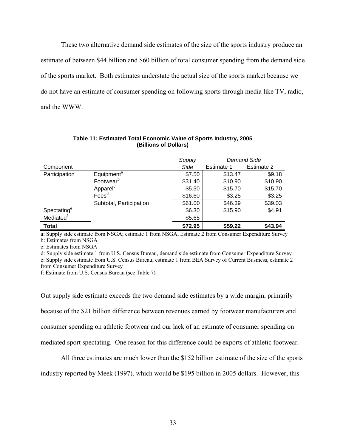These two alternative demand side estimates of the size of the sports industry produce an estimate of between \$44 billion and \$60 billion of total consumer spending from the demand side of the sports market. Both estimates understate the actual size of the sports market because we do not have an estimate of consumer spending on following sports through media like TV, radio, and the WWW.

|                         |                         | Supply  | <b>Demand Side</b> |            |
|-------------------------|-------------------------|---------|--------------------|------------|
| Component               |                         | Side    | Estimate 1         | Estimate 2 |
| Participation           | Equipment <sup>a</sup>  | \$7.50  | \$13.47            | \$9.18     |
|                         | Footwear <sup>b</sup>   | \$31.40 | \$10.90            | \$10.90    |
|                         | Apparel <sup>c</sup>    | \$5.50  | \$15.70            | \$15.70    |
|                         | Fees <sup>d</sup>       | \$16.60 | \$3.25             | \$3.25     |
|                         | Subtotal, Participation | \$61.00 | \$46.39            | \$39.03    |
| Spectating <sup>e</sup> |                         | \$6.30  | \$15.90            | \$4.91     |
| Mediated <sup>t</sup>   |                         | \$5.65  |                    |            |
| <b>Total</b>            |                         | \$72.95 | \$59.22            | \$43.94    |

#### **Table 11: Estimated Total Economic Value of Sports Industry, 2005 (Billions of Dollars)**

a: Supply side estimate from NSGA; estimate 1 from NSGA, Estimate 2 from Consumer Expenditure Survey b: Estimates from NSGA

c: Estimates from NSGA

d: Supply side estimate 1 from U.S. Census Bureau, demand side estimate from Consumer Expenditure Survey e: Supply side estimate from U.S. Census Bureau; estimate 1 from BEA Survey of Current Business, estimate 2 from Consumer Expenditure Survey

f: Estimate from U.S. Census Bureau (see Table 7)

Out supply side estimate exceeds the two demand side estimates by a wide margin, primarily because of the \$21 billion difference between revenues earned by footwear manufacturers and consumer spending on athletic footwear and our lack of an estimate of consumer spending on mediated sport spectating. One reason for this difference could be exports of athletic footwear.

All three estimates are much lower than the \$152 billion estimate of the size of the sports

industry reported by Meek (1997), which would be \$195 billion in 2005 dollars. However, this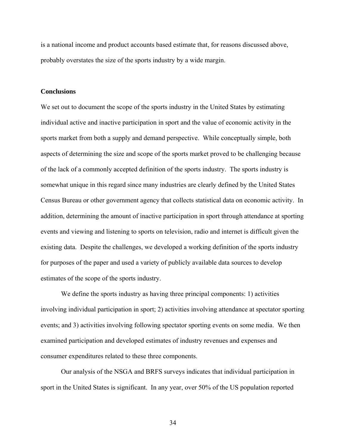is a national income and product accounts based estimate that, for reasons discussed above, probably overstates the size of the sports industry by a wide margin.

#### **Conclusions**

We set out to document the scope of the sports industry in the United States by estimating individual active and inactive participation in sport and the value of economic activity in the sports market from both a supply and demand perspective. While conceptually simple, both aspects of determining the size and scope of the sports market proved to be challenging because of the lack of a commonly accepted definition of the sports industry. The sports industry is somewhat unique in this regard since many industries are clearly defined by the United States Census Bureau or other government agency that collects statistical data on economic activity. In addition, determining the amount of inactive participation in sport through attendance at sporting events and viewing and listening to sports on television, radio and internet is difficult given the existing data. Despite the challenges, we developed a working definition of the sports industry for purposes of the paper and used a variety of publicly available data sources to develop estimates of the scope of the sports industry.

 We define the sports industry as having three principal components: 1) activities involving individual participation in sport; 2) activities involving attendance at spectator sporting events; and 3) activities involving following spectator sporting events on some media. We then examined participation and developed estimates of industry revenues and expenses and consumer expenditures related to these three components.

 Our analysis of the NSGA and BRFS surveys indicates that individual participation in sport in the United States is significant. In any year, over 50% of the US population reported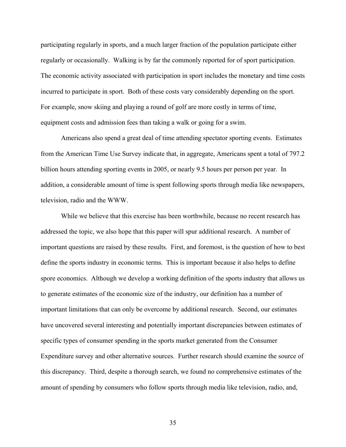participating regularly in sports, and a much larger fraction of the population participate either regularly or occasionally. Walking is by far the commonly reported for of sport participation. The economic activity associated with participation in sport includes the monetary and time costs incurred to participate in sport. Both of these costs vary considerably depending on the sport. For example, snow skiing and playing a round of golf are more costly in terms of time, equipment costs and admission fees than taking a walk or going for a swim.

 Americans also spend a great deal of time attending spectator sporting events. Estimates from the American Time Use Survey indicate that, in aggregate, Americans spent a total of 797.2 billion hours attending sporting events in 2005, or nearly 9.5 hours per person per year. In addition, a considerable amount of time is spent following sports through media like newspapers, television, radio and the WWW.

 While we believe that this exercise has been worthwhile, because no recent research has addressed the topic, we also hope that this paper will spur additional research. A number of important questions are raised by these results. First, and foremost, is the question of how to best define the sports industry in economic terms. This is important because it also helps to define spore economics. Although we develop a working definition of the sports industry that allows us to generate estimates of the economic size of the industry, our definition has a number of important limitations that can only be overcome by additional research. Second, our estimates have uncovered several interesting and potentially important discrepancies between estimates of specific types of consumer spending in the sports market generated from the Consumer Expenditure survey and other alternative sources. Further research should examine the source of this discrepancy. Third, despite a thorough search, we found no comprehensive estimates of the amount of spending by consumers who follow sports through media like television, radio, and,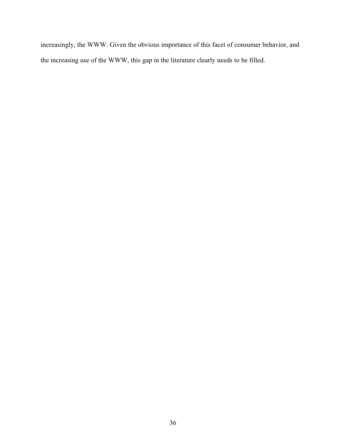increasingly, the WWW. Given the obvious importance of this facet of consumer behavior, and the increasing use of the WWW, this gap in the literature clearly needs to be filled.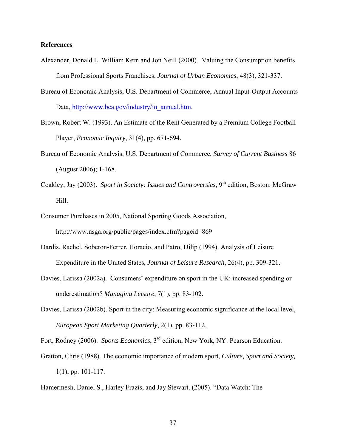#### **References**

- Alexander, Donald L. William Kern and Jon Neill (2000). Valuing the Consumption benefits from Professional Sports Franchises, *Journal of Urban Economics*, 48(3), 321-337.
- Bureau of Economic Analysis, U.S. Department of Commerce, Annual Input-Output Accounts Data, http://www.bea.gov/industry/io\_annual.htm.
- Brown, Robert W. (1993). An Estimate of the Rent Generated by a Premium College Football Player, *Economic Inquiry*, 31(4), pp. 671-694.
- Bureau of Economic Analysis, U.S. Department of Commerce, *Survey of Current Business* 86 (August 2006); 1-168.
- Coakley, Jay (2003). *Sport in Society: Issues and Controversies*, 9<sup>th</sup> edition, Boston: McGraw Hill.
- Consumer Purchases in 2005, National Sporting Goods Association, http://www.nsga.org/public/pages/index.cfm?pageid=869
- Dardis, Rachel, Soberon-Ferrer, Horacio, and Patro, Dilip (1994). Analysis of Leisure Expenditure in the United States, *Journal of Leisure Research*, 26(4), pp. 309-321.
- Davies, Larissa (2002a). Consumers' expenditure on sport in the UK: increased spending or underestimation? *Managing Leisure*, 7(1), pp. 83-102.
- Davies, Larissa (2002b). Sport in the city: Measuring economic significance at the local level, *European Sport Marketing Quarterly*, 2(1), pp. 83-112.

Fort, Rodney (2006). *Sports Economics*, 3rd edition, New York, NY: Pearson Education.

Gratton, Chris (1988). The economic importance of modern sport, *Culture, Sport and Society,* 1(1), pp. 101-117.

Hamermesh, Daniel S., Harley Frazis, and Jay Stewart. (2005). "Data Watch: The